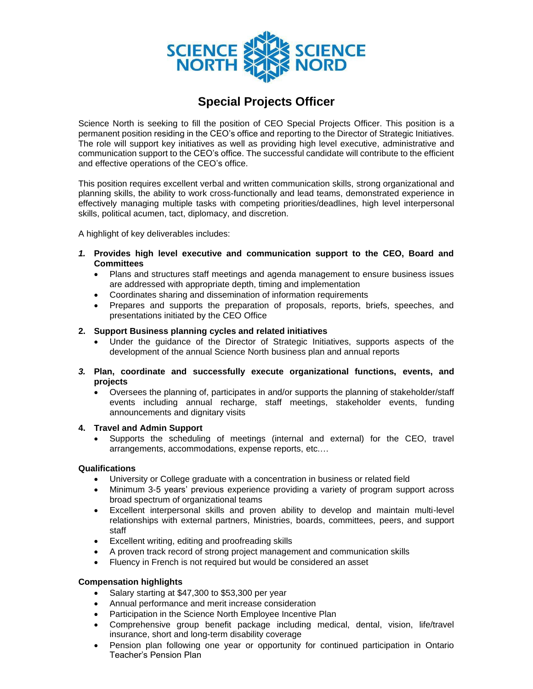

# **Special Projects Officer**

Science North is seeking to fill the position of CEO Special Projects Officer. This position is a permanent position residing in the CEO's office and reporting to the Director of Strategic Initiatives. The role will support key initiatives as well as providing high level executive, administrative and communication support to the CEO's office. The successful candidate will contribute to the efficient and effective operations of the CEO's office.

This position requires excellent verbal and written communication skills, strong organizational and planning skills, the ability to work cross-functionally and lead teams, demonstrated experience in effectively managing multiple tasks with competing priorities/deadlines, high level interpersonal skills, political acumen, tact, diplomacy, and discretion.

A highlight of key deliverables includes:

- *1.* **Provides high level executive and communication support to the CEO, Board and Committees**
	- Plans and structures staff meetings and agenda management to ensure business issues are addressed with appropriate depth, timing and implementation
	- Coordinates sharing and dissemination of information requirements
	- Prepares and supports the preparation of proposals, reports, briefs, speeches, and presentations initiated by the CEO Office

### **2. Support Business planning cycles and related initiatives**

- Under the guidance of the Director of Strategic Initiatives, supports aspects of the development of the annual Science North business plan and annual reports
- *3.* **Plan, coordinate and successfully execute organizational functions, events, and projects**
	- Oversees the planning of, participates in and/or supports the planning of stakeholder/staff events including annual recharge, staff meetings, stakeholder events, funding announcements and dignitary visits

#### **4. Travel and Admin Support**

• Supports the scheduling of meetings (internal and external) for the CEO, travel arrangements, accommodations, expense reports, etc.…

## **Qualifications**

- University or College graduate with a concentration in business or related field
- Minimum 3-5 years' previous experience providing a variety of program support across broad spectrum of organizational teams
- Excellent interpersonal skills and proven ability to develop and maintain multi-level relationships with external partners, Ministries, boards, committees, peers, and support staff
- Excellent writing, editing and proofreading skills
- A proven track record of strong project management and communication skills
- Fluency in French is not required but would be considered an asset

## **Compensation highlights**

- Salary starting at \$47,300 to \$53,300 per year
- Annual performance and merit increase consideration
- Participation in the Science North Employee Incentive Plan
- Comprehensive group benefit package including medical, dental, vision, life/travel insurance, short and long-term disability coverage
- Pension plan following one year or opportunity for continued participation in Ontario Teacher's Pension Plan